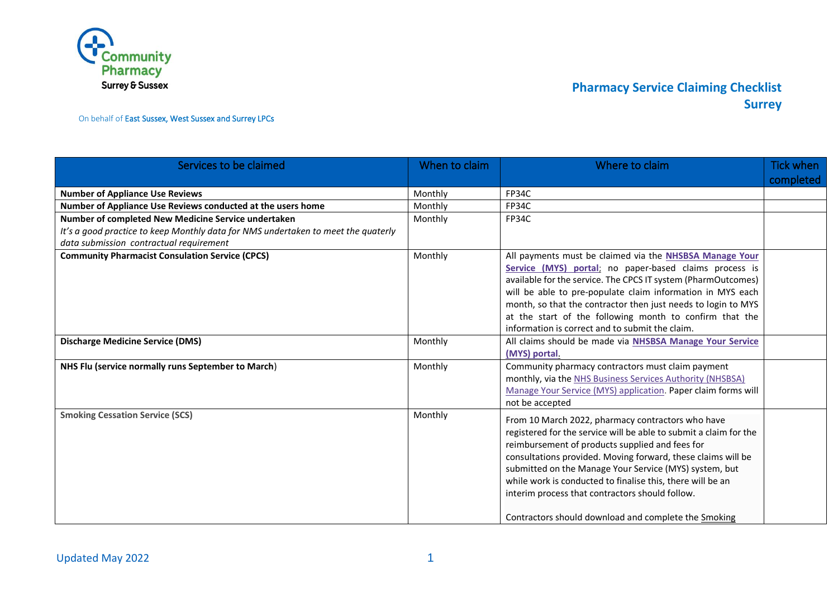

On behalf of East Sussex, West Sussex and Surrey LPCs

| Services to be claimed                                                                                                                                                              | When to claim | Where to claim                                                                                                                                                                                                                                                                                                                                                                                                                                                               | <b>Tick when</b><br>completed |
|-------------------------------------------------------------------------------------------------------------------------------------------------------------------------------------|---------------|------------------------------------------------------------------------------------------------------------------------------------------------------------------------------------------------------------------------------------------------------------------------------------------------------------------------------------------------------------------------------------------------------------------------------------------------------------------------------|-------------------------------|
| <b>Number of Appliance Use Reviews</b>                                                                                                                                              | Monthly       | FP34C                                                                                                                                                                                                                                                                                                                                                                                                                                                                        |                               |
| Number of Appliance Use Reviews conducted at the users home                                                                                                                         | Monthly       | <b>FP34C</b>                                                                                                                                                                                                                                                                                                                                                                                                                                                                 |                               |
| Number of completed New Medicine Service undertaken<br>It's a good practice to keep Monthly data for NMS undertaken to meet the quaterly<br>data submission contractual requirement | Monthly       | FP34C                                                                                                                                                                                                                                                                                                                                                                                                                                                                        |                               |
| <b>Community Pharmacist Consulation Service (CPCS)</b>                                                                                                                              | Monthly       | All payments must be claimed via the NHSBSA Manage Your<br>Service (MYS) portal; no paper-based claims process is<br>available for the service. The CPCS IT system (PharmOutcomes)<br>will be able to pre-populate claim information in MYS each<br>month, so that the contractor then just needs to login to MYS<br>at the start of the following month to confirm that the<br>information is correct and to submit the claim.                                              |                               |
| <b>Discharge Medicine Service (DMS)</b>                                                                                                                                             | Monthly       | All claims should be made via NHSBSA Manage Your Service<br>(MYS) portal.                                                                                                                                                                                                                                                                                                                                                                                                    |                               |
| NHS Flu (service normally runs September to March)                                                                                                                                  | Monthly       | Community pharmacy contractors must claim payment<br>monthly, via the NHS Business Services Authority (NHSBSA)<br>Manage Your Service (MYS) application. Paper claim forms will<br>not be accepted                                                                                                                                                                                                                                                                           |                               |
| <b>Smoking Cessation Service (SCS)</b>                                                                                                                                              | Monthly       | From 10 March 2022, pharmacy contractors who have<br>registered for the service will be able to submit a claim for the<br>reimbursement of products supplied and fees for<br>consultations provided. Moving forward, these claims will be<br>submitted on the Manage Your Service (MYS) system, but<br>while work is conducted to finalise this, there will be an<br>interim process that contractors should follow.<br>Contractors should download and complete the Smoking |                               |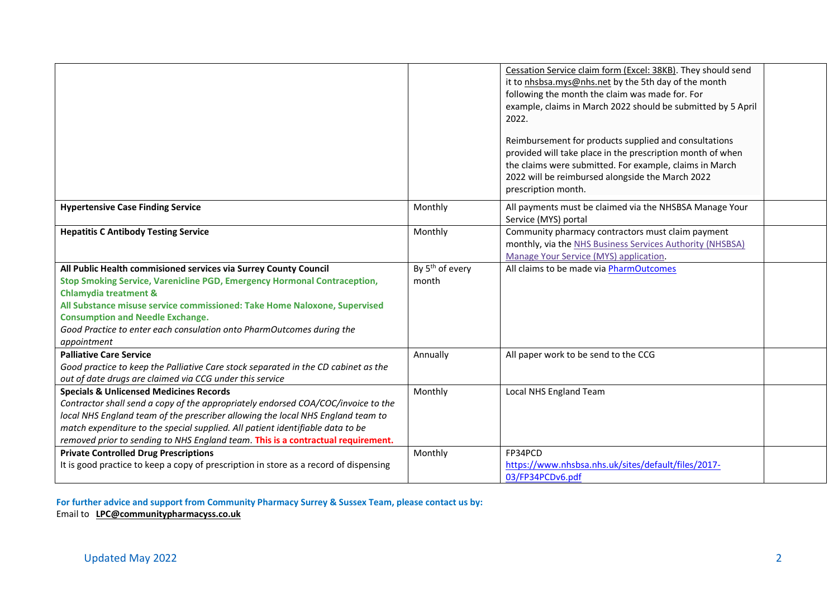|                                                                                                                                                                                                                                                                                                                                                                                                  |                                      | Cessation Service claim form (Excel: 38KB). They should send<br>it to nhsbsa.mys@nhs.net by the 5th day of the month<br>following the month the claim was made for. For<br>example, claims in March 2022 should be submitted by 5 April<br>2022.<br>Reimbursement for products supplied and consultations<br>provided will take place in the prescription month of when<br>the claims were submitted. For example, claims in March<br>2022 will be reimbursed alongside the March 2022<br>prescription month. |  |
|--------------------------------------------------------------------------------------------------------------------------------------------------------------------------------------------------------------------------------------------------------------------------------------------------------------------------------------------------------------------------------------------------|--------------------------------------|---------------------------------------------------------------------------------------------------------------------------------------------------------------------------------------------------------------------------------------------------------------------------------------------------------------------------------------------------------------------------------------------------------------------------------------------------------------------------------------------------------------|--|
| <b>Hypertensive Case Finding Service</b>                                                                                                                                                                                                                                                                                                                                                         | Monthly                              | All payments must be claimed via the NHSBSA Manage Your<br>Service (MYS) portal                                                                                                                                                                                                                                                                                                                                                                                                                               |  |
| <b>Hepatitis C Antibody Testing Service</b>                                                                                                                                                                                                                                                                                                                                                      | Monthly                              | Community pharmacy contractors must claim payment<br>monthly, via the NHS Business Services Authority (NHSBSA)<br>Manage Your Service (MYS) application.                                                                                                                                                                                                                                                                                                                                                      |  |
| All Public Health commisioned services via Surrey County Council<br>Stop Smoking Service, Varenicline PGD, Emergency Hormonal Contraception,<br><b>Chlamydia treatment &amp;</b><br>All Substance misuse service commissioned: Take Home Naloxone, Supervised<br><b>Consumption and Needle Exchange.</b><br>Good Practice to enter each consulation onto PharmOutcomes during the<br>appointment | By 5 <sup>th</sup> of every<br>month | All claims to be made via PharmOutcomes                                                                                                                                                                                                                                                                                                                                                                                                                                                                       |  |
| <b>Palliative Care Service</b><br>Good practice to keep the Palliative Care stock separated in the CD cabinet as the<br>out of date drugs are claimed via CCG under this service                                                                                                                                                                                                                 | Annually                             | All paper work to be send to the CCG                                                                                                                                                                                                                                                                                                                                                                                                                                                                          |  |
| <b>Specials &amp; Unlicensed Medicines Records</b><br>Contractor shall send a copy of the appropriately endorsed COA/COC/invoice to the<br>local NHS England team of the prescriber allowing the local NHS England team to<br>match expenditure to the special supplied. All patient identifiable data to be<br>removed prior to sending to NHS England team. This is a contractual requirement. | Monthly                              | Local NHS England Team                                                                                                                                                                                                                                                                                                                                                                                                                                                                                        |  |
| <b>Private Controlled Drug Prescriptions</b><br>It is good practice to keep a copy of prescription in store as a record of dispensing                                                                                                                                                                                                                                                            | Monthly                              | FP34PCD<br>https://www.nhsbsa.nhs.uk/sites/default/files/2017-<br>03/FP34PCDv6.pdf                                                                                                                                                                                                                                                                                                                                                                                                                            |  |

**For further advice and support from Community Pharmacy Surrey & Sussex Team, please contact us by:**  Email to **[LPC@communitypharmacyss.co.uk](mailto:LPC@communitypharmacyss.co.uk)**